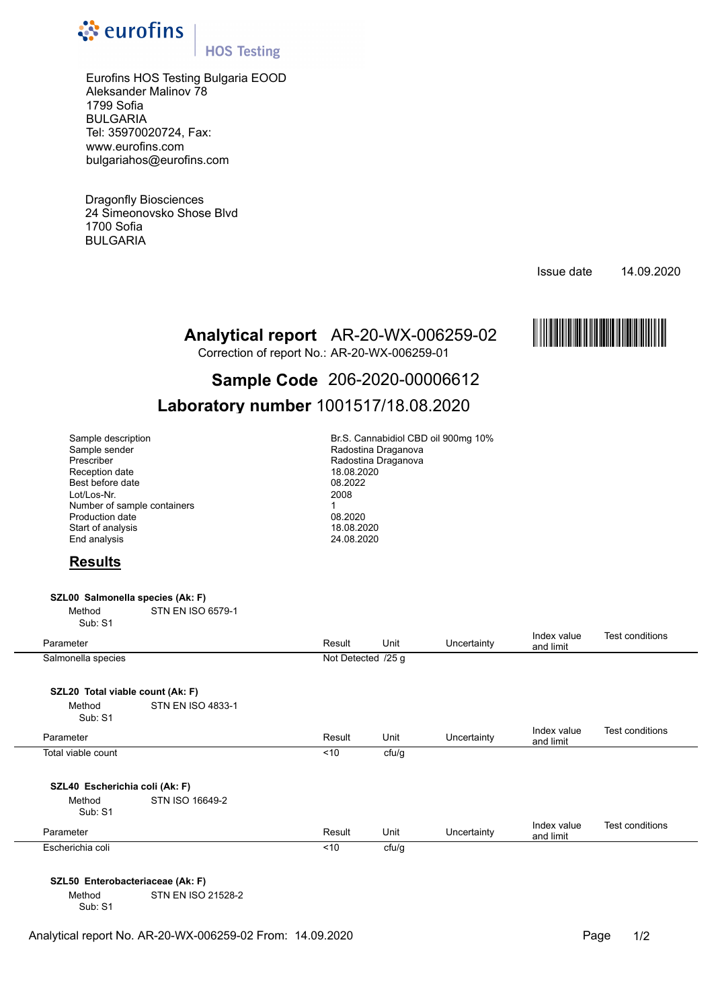

## **HOS Testing**

Eurofins HOS Testing Bulgaria EOOD Aleksander Malinov 78 1799 Sofia BULGARIA Tel: 35970020724, Fax: www.eurofins.com bulgariahos@eurofins.com

Dragonfly Biosciences 24 Simeonovsko Shose Blvd 1700 Sofia BULGARIA

Issue date 14.09.2020



Correction of report No.: AR-20-WX-006259-01

# **Analytical report** AR-20-WX-006259-02 MAR-20FERENT Correction of report No.: AR-20-WX-006259-01<br> **Sample Code** 206-2020-000006612 **Sample Code** 206-2020-00006612

# **Laboratory number** 1001517/18.08.2020

| Sample description          | Br.S. Cannabidiol CBD oi |  |  |  |
|-----------------------------|--------------------------|--|--|--|
| Sample sender               | Radostina Draganova      |  |  |  |
| Prescriber                  | Radostina Draganova      |  |  |  |
| Reception date              | 18.08.2020               |  |  |  |
| Best before date            | 08.2022                  |  |  |  |
| Lot/Los-Nr.                 | 2008                     |  |  |  |
| Number of sample containers |                          |  |  |  |
| <b>Production date</b>      | 08.2020                  |  |  |  |
| Start of analysis           | 18.08.2020               |  |  |  |
| End analysis                | 24.08.2020               |  |  |  |

Br.S. Cannabidiol CBD oil 900mg 10% Radostina Draganova Radostina Draganova 18.08.2020<br>08.2022 Best before date 08.2022 Lot/Los-Nr. 2008 Production date 08.2020 18.08.2020 End analysis 24.08.2020

## **Results**

#### **SZL00 Salmonella species (Ak: F)**

Method STN EN ISO 6579-1 Sub: S1

| Parameter                        |                          | Result             | Unit  | Uncertainty | Index value<br>and limit | Test conditions |
|----------------------------------|--------------------------|--------------------|-------|-------------|--------------------------|-----------------|
| Salmonella species               |                          | Not Detected /25 g |       |             |                          |                 |
|                                  |                          |                    |       |             |                          |                 |
| SZL20 Total viable count (Ak: F) |                          |                    |       |             |                          |                 |
| Method<br>Sub: S1                | <b>STN EN ISO 4833-1</b> |                    |       |             |                          |                 |
| Parameter                        |                          | Result             | Unit  | Uncertainty | Index value<br>and limit | Test conditions |
| Total viable count               |                          | ~10                | cfu/g |             |                          |                 |
| SZL40 Escherichia coli (Ak: F)   |                          |                    |       |             |                          |                 |
| Method<br>Sub: S1                | STN ISO 16649-2          |                    |       |             |                          |                 |
| Parameter                        |                          | Result             | Unit  | Uncertainty | Index value<br>and limit | Test conditions |
| Escherichia coli                 |                          | ~10                | cfu/g |             |                          |                 |
|                                  |                          |                    |       |             |                          |                 |

#### **SZL50 Enterobacteriaceae (Ak: F)**

Method STN EN ISO 21528-2 Sub: S1